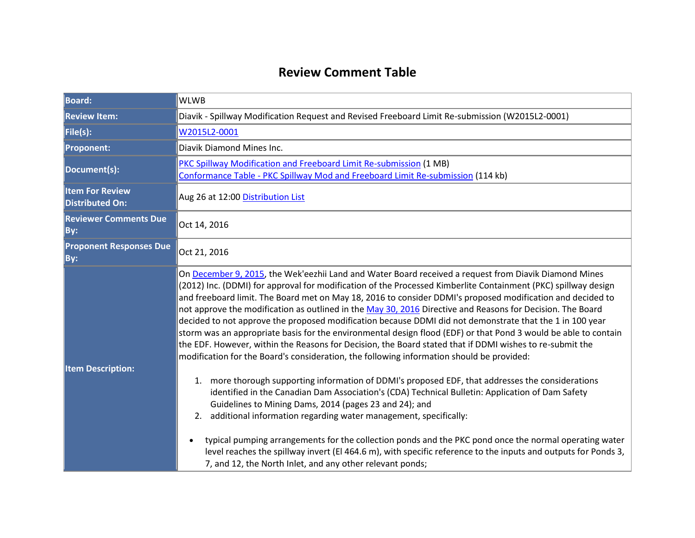## **Review Comment Table**

| <b>Board:</b>                                    | <b>WLWB</b>                                                                                                                                                                                                                                                                                                                                                                                                                                                                                                                                                                                                                                                                                                                                                                                                                                                                                                                                                                                                                                                                                                                                                                                                                                                                                                                                                                                                                                                                                                                       |  |  |
|--------------------------------------------------|-----------------------------------------------------------------------------------------------------------------------------------------------------------------------------------------------------------------------------------------------------------------------------------------------------------------------------------------------------------------------------------------------------------------------------------------------------------------------------------------------------------------------------------------------------------------------------------------------------------------------------------------------------------------------------------------------------------------------------------------------------------------------------------------------------------------------------------------------------------------------------------------------------------------------------------------------------------------------------------------------------------------------------------------------------------------------------------------------------------------------------------------------------------------------------------------------------------------------------------------------------------------------------------------------------------------------------------------------------------------------------------------------------------------------------------------------------------------------------------------------------------------------------------|--|--|
| <b>Review Item:</b>                              | Diavik - Spillway Modification Request and Revised Freeboard Limit Re-submission (W2015L2-0001)                                                                                                                                                                                                                                                                                                                                                                                                                                                                                                                                                                                                                                                                                                                                                                                                                                                                                                                                                                                                                                                                                                                                                                                                                                                                                                                                                                                                                                   |  |  |
| File(s):                                         | W2015L2-0001                                                                                                                                                                                                                                                                                                                                                                                                                                                                                                                                                                                                                                                                                                                                                                                                                                                                                                                                                                                                                                                                                                                                                                                                                                                                                                                                                                                                                                                                                                                      |  |  |
| <b>Proponent:</b>                                | Diavik Diamond Mines Inc.                                                                                                                                                                                                                                                                                                                                                                                                                                                                                                                                                                                                                                                                                                                                                                                                                                                                                                                                                                                                                                                                                                                                                                                                                                                                                                                                                                                                                                                                                                         |  |  |
| Document(s):                                     | <b>PKC Spillway Modification and Freeboard Limit Re-submission (1 MB)</b><br>Conformance Table - PKC Spillway Mod and Freeboard Limit Re-submission (114 kb)                                                                                                                                                                                                                                                                                                                                                                                                                                                                                                                                                                                                                                                                                                                                                                                                                                                                                                                                                                                                                                                                                                                                                                                                                                                                                                                                                                      |  |  |
| <b>Item For Review</b><br><b>Distributed On:</b> | Aug 26 at 12:00 Distribution List                                                                                                                                                                                                                                                                                                                                                                                                                                                                                                                                                                                                                                                                                                                                                                                                                                                                                                                                                                                                                                                                                                                                                                                                                                                                                                                                                                                                                                                                                                 |  |  |
| <b>Reviewer Comments Due</b><br>By:              | Oct 14, 2016                                                                                                                                                                                                                                                                                                                                                                                                                                                                                                                                                                                                                                                                                                                                                                                                                                                                                                                                                                                                                                                                                                                                                                                                                                                                                                                                                                                                                                                                                                                      |  |  |
| <b>Proponent Responses Due</b><br>By:            | Oct 21, 2016                                                                                                                                                                                                                                                                                                                                                                                                                                                                                                                                                                                                                                                                                                                                                                                                                                                                                                                                                                                                                                                                                                                                                                                                                                                                                                                                                                                                                                                                                                                      |  |  |
| <b>Item Description:</b>                         | On December 9, 2015, the Wek'eezhii Land and Water Board received a request from Diavik Diamond Mines<br>(2012) Inc. (DDMI) for approval for modification of the Processed Kimberlite Containment (PKC) spillway design<br>and freeboard limit. The Board met on May 18, 2016 to consider DDMI's proposed modification and decided to<br>not approve the modification as outlined in the May 30, 2016 Directive and Reasons for Decision. The Board<br>decided to not approve the proposed modification because DDMI did not demonstrate that the 1 in 100 year<br>storm was an appropriate basis for the environmental design flood (EDF) or that Pond 3 would be able to contain<br>the EDF. However, within the Reasons for Decision, the Board stated that if DDMI wishes to re-submit the<br>modification for the Board's consideration, the following information should be provided:<br>1. more thorough supporting information of DDMI's proposed EDF, that addresses the considerations<br>identified in the Canadian Dam Association's (CDA) Technical Bulletin: Application of Dam Safety<br>Guidelines to Mining Dams, 2014 (pages 23 and 24); and<br>additional information regarding water management, specifically:<br>2.<br>typical pumping arrangements for the collection ponds and the PKC pond once the normal operating water<br>level reaches the spillway invert (El 464.6 m), with specific reference to the inputs and outputs for Ponds 3,<br>7, and 12, the North Inlet, and any other relevant ponds; |  |  |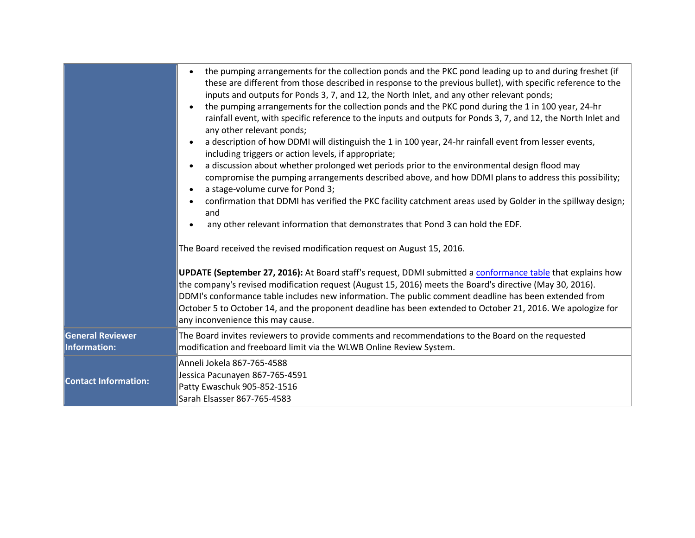|                                         | the pumping arrangements for the collection ponds and the PKC pond leading up to and during freshet (if<br>these are different from those described in response to the previous bullet), with specific reference to the<br>inputs and outputs for Ponds 3, 7, and 12, the North Inlet, and any other relevant ponds;<br>the pumping arrangements for the collection ponds and the PKC pond during the 1 in 100 year, 24-hr<br>rainfall event, with specific reference to the inputs and outputs for Ponds 3, 7, and 12, the North Inlet and<br>any other relevant ponds;<br>a description of how DDMI will distinguish the 1 in 100 year, 24-hr rainfall event from lesser events,<br>including triggers or action levels, if appropriate;<br>a discussion about whether prolonged wet periods prior to the environmental design flood may<br>compromise the pumping arrangements described above, and how DDMI plans to address this possibility;<br>a stage-volume curve for Pond 3;<br>$\bullet$<br>confirmation that DDMI has verified the PKC facility catchment areas used by Golder in the spillway design;<br>and<br>any other relevant information that demonstrates that Pond 3 can hold the EDF.<br>The Board received the revised modification request on August 15, 2016.<br>UPDATE (September 27, 2016): At Board staff's request, DDMI submitted a conformance table that explains how<br>the company's revised modification request (August 15, 2016) meets the Board's directive (May 30, 2016).<br>DDMI's conformance table includes new information. The public comment deadline has been extended from<br>October 5 to October 14, and the proponent deadline has been extended to October 21, 2016. We apologize for<br>any inconvenience this may cause. |
|-----------------------------------------|--------------------------------------------------------------------------------------------------------------------------------------------------------------------------------------------------------------------------------------------------------------------------------------------------------------------------------------------------------------------------------------------------------------------------------------------------------------------------------------------------------------------------------------------------------------------------------------------------------------------------------------------------------------------------------------------------------------------------------------------------------------------------------------------------------------------------------------------------------------------------------------------------------------------------------------------------------------------------------------------------------------------------------------------------------------------------------------------------------------------------------------------------------------------------------------------------------------------------------------------------------------------------------------------------------------------------------------------------------------------------------------------------------------------------------------------------------------------------------------------------------------------------------------------------------------------------------------------------------------------------------------------------------------------------------------------------------------------------------------------------------------------------------|
| <b>General Reviewer</b><br>Information: | The Board invites reviewers to provide comments and recommendations to the Board on the requested<br>modification and freeboard limit via the WLWB Online Review System.                                                                                                                                                                                                                                                                                                                                                                                                                                                                                                                                                                                                                                                                                                                                                                                                                                                                                                                                                                                                                                                                                                                                                                                                                                                                                                                                                                                                                                                                                                                                                                                                       |
| <b>Contact Information:</b>             | Anneli Jokela 867-765-4588<br>Jessica Pacunayen 867-765-4591<br>Patty Ewaschuk 905-852-1516<br>Sarah Elsasser 867-765-4583                                                                                                                                                                                                                                                                                                                                                                                                                                                                                                                                                                                                                                                                                                                                                                                                                                                                                                                                                                                                                                                                                                                                                                                                                                                                                                                                                                                                                                                                                                                                                                                                                                                     |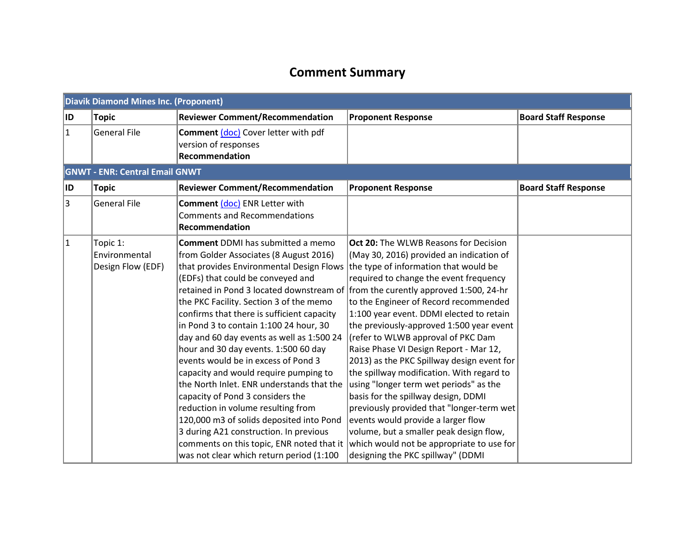# **Comment Summary**

|              | <b>Diavik Diamond Mines Inc. (Proponent)</b>                                                                                                                                                                                                                                                                                                                                                                                                                                                                                                                                                                                                                                                                                                                                                                                                                                                                            |                                                                                               |                                                                                                                                                                                                                                                                                                                                                                                                                                                                                                                                                                                                                                                                                                                                                                                          |                             |  |
|--------------|-------------------------------------------------------------------------------------------------------------------------------------------------------------------------------------------------------------------------------------------------------------------------------------------------------------------------------------------------------------------------------------------------------------------------------------------------------------------------------------------------------------------------------------------------------------------------------------------------------------------------------------------------------------------------------------------------------------------------------------------------------------------------------------------------------------------------------------------------------------------------------------------------------------------------|-----------------------------------------------------------------------------------------------|------------------------------------------------------------------------------------------------------------------------------------------------------------------------------------------------------------------------------------------------------------------------------------------------------------------------------------------------------------------------------------------------------------------------------------------------------------------------------------------------------------------------------------------------------------------------------------------------------------------------------------------------------------------------------------------------------------------------------------------------------------------------------------------|-----------------------------|--|
| ID.          | Topic                                                                                                                                                                                                                                                                                                                                                                                                                                                                                                                                                                                                                                                                                                                                                                                                                                                                                                                   | <b>Reviewer Comment/Recommendation</b>                                                        | <b>Proponent Response</b>                                                                                                                                                                                                                                                                                                                                                                                                                                                                                                                                                                                                                                                                                                                                                                | <b>Board Staff Response</b> |  |
| $\mathbf{1}$ | <b>General File</b>                                                                                                                                                                                                                                                                                                                                                                                                                                                                                                                                                                                                                                                                                                                                                                                                                                                                                                     | <b>Comment (doc)</b> Cover letter with pdf<br>version of responses<br>Recommendation          |                                                                                                                                                                                                                                                                                                                                                                                                                                                                                                                                                                                                                                                                                                                                                                                          |                             |  |
|              | <b>GNWT - ENR: Central Email GNWT</b>                                                                                                                                                                                                                                                                                                                                                                                                                                                                                                                                                                                                                                                                                                                                                                                                                                                                                   |                                                                                               |                                                                                                                                                                                                                                                                                                                                                                                                                                                                                                                                                                                                                                                                                                                                                                                          |                             |  |
| ID.          | <b>Topic</b>                                                                                                                                                                                                                                                                                                                                                                                                                                                                                                                                                                                                                                                                                                                                                                                                                                                                                                            | <b>Reviewer Comment/Recommendation</b>                                                        | <b>Proponent Response</b>                                                                                                                                                                                                                                                                                                                                                                                                                                                                                                                                                                                                                                                                                                                                                                | <b>Board Staff Response</b> |  |
| 3            | General File                                                                                                                                                                                                                                                                                                                                                                                                                                                                                                                                                                                                                                                                                                                                                                                                                                                                                                            | <b>Comment (doc) ENR Letter with</b><br><b>Comments and Recommendations</b><br>Recommendation |                                                                                                                                                                                                                                                                                                                                                                                                                                                                                                                                                                                                                                                                                                                                                                                          |                             |  |
| $\mathbf 1$  | <b>Comment DDMI has submitted a memo</b><br>Topic 1:<br>from Golder Associates (8 August 2016)<br>Environmental<br>Design Flow (EDF)<br>that provides Environmental Design Flows<br>(EDFs) that could be conveyed and<br>retained in Pond 3 located downstream of from the curently approved 1:500, 24-hr<br>the PKC Facility. Section 3 of the memo<br>confirms that there is sufficient capacity<br>in Pond 3 to contain 1:100 24 hour, 30<br>day and 60 day events as well as 1:500 24<br>hour and 30 day events. 1:500 60 day<br>events would be in excess of Pond 3<br>capacity and would require pumping to<br>the North Inlet. ENR understands that the<br>capacity of Pond 3 considers the<br>reduction in volume resulting from<br>120,000 m3 of solids deposited into Pond<br>3 during A21 construction. In previous<br>comments on this topic, ENR noted that it<br>was not clear which return period (1:100 |                                                                                               | <b>Oct 20:</b> The WLWB Reasons for Decision<br>(May 30, 2016) provided an indication of<br>the type of information that would be<br>required to change the event frequency<br>to the Engineer of Record recommended<br>1:100 year event. DDMI elected to retain<br>the previously-approved 1:500 year event<br>(refer to WLWB approval of PKC Dam<br>Raise Phase VI Design Report - Mar 12,<br>2013) as the PKC Spillway design event for<br>the spillway modification. With regard to<br>using "longer term wet periods" as the<br>basis for the spillway design, DDMI<br>previously provided that "longer-term wet<br>events would provide a larger flow<br>volume, but a smaller peak design flow,<br>which would not be appropriate to use for<br>designing the PKC spillway" (DDMI |                             |  |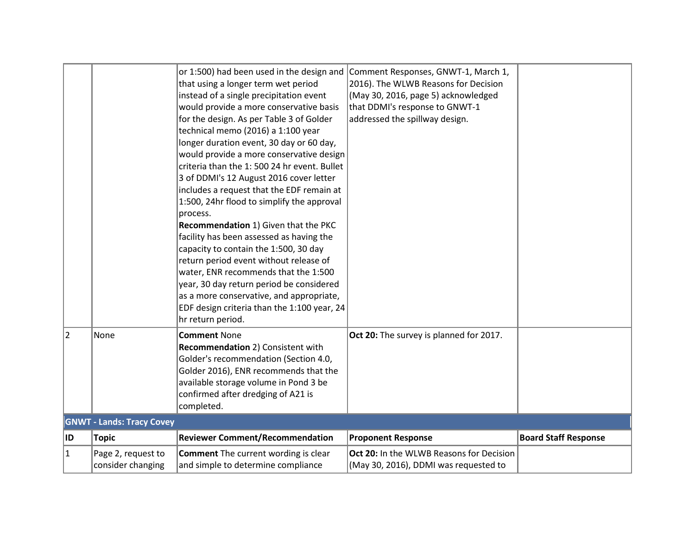| 2         | None                                    | or 1:500) had been used in the design and<br>that using a longer term wet period<br>instead of a single precipitation event<br>would provide a more conservative basis<br>for the design. As per Table 3 of Golder<br>technical memo (2016) a 1:100 year<br>longer duration event, 30 day or 60 day,<br>would provide a more conservative design<br>criteria than the 1:500 24 hr event. Bullet<br>3 of DDMI's 12 August 2016 cover letter<br>includes a request that the EDF remain at<br>1:500, 24hr flood to simplify the approval<br>process.<br>Recommendation 1) Given that the PKC<br>facility has been assessed as having the<br>capacity to contain the 1:500, 30 day<br>return period event without release of<br>water, ENR recommends that the 1:500<br>year, 30 day return period be considered<br>as a more conservative, and appropriate,<br>EDF design criteria than the 1:100 year, 24<br>hr return period.<br><b>Comment None</b> | Comment Responses, GNWT-1, March 1,<br>2016). The WLWB Reasons for Decision<br>(May 30, 2016, page 5) acknowledged<br>that DDMI's response to GNWT-1<br>addressed the spillway design.<br>Oct 20: The survey is planned for 2017. |                             |
|-----------|-----------------------------------------|-----------------------------------------------------------------------------------------------------------------------------------------------------------------------------------------------------------------------------------------------------------------------------------------------------------------------------------------------------------------------------------------------------------------------------------------------------------------------------------------------------------------------------------------------------------------------------------------------------------------------------------------------------------------------------------------------------------------------------------------------------------------------------------------------------------------------------------------------------------------------------------------------------------------------------------------------------|-----------------------------------------------------------------------------------------------------------------------------------------------------------------------------------------------------------------------------------|-----------------------------|
|           |                                         | Recommendation 2) Consistent with<br>Golder's recommendation (Section 4.0,<br>Golder 2016), ENR recommends that the<br>available storage volume in Pond 3 be<br>confirmed after dredging of A21 is<br>completed.                                                                                                                                                                                                                                                                                                                                                                                                                                                                                                                                                                                                                                                                                                                                    |                                                                                                                                                                                                                                   |                             |
|           | <b>GNWT - Lands: Tracy Covey</b>        |                                                                                                                                                                                                                                                                                                                                                                                                                                                                                                                                                                                                                                                                                                                                                                                                                                                                                                                                                     |                                                                                                                                                                                                                                   |                             |
| ∣ID       | <b>Topic</b>                            | <b>Reviewer Comment/Recommendation</b>                                                                                                                                                                                                                                                                                                                                                                                                                                                                                                                                                                                                                                                                                                                                                                                                                                                                                                              | <b>Proponent Response</b>                                                                                                                                                                                                         | <b>Board Staff Response</b> |
| $\vert$ 1 | Page 2, request to<br>consider changing | <b>Comment</b> The current wording is clear<br>and simple to determine compliance                                                                                                                                                                                                                                                                                                                                                                                                                                                                                                                                                                                                                                                                                                                                                                                                                                                                   | Oct 20: In the WLWB Reasons for Decision<br>(May 30, 2016), DDMI was requested to                                                                                                                                                 |                             |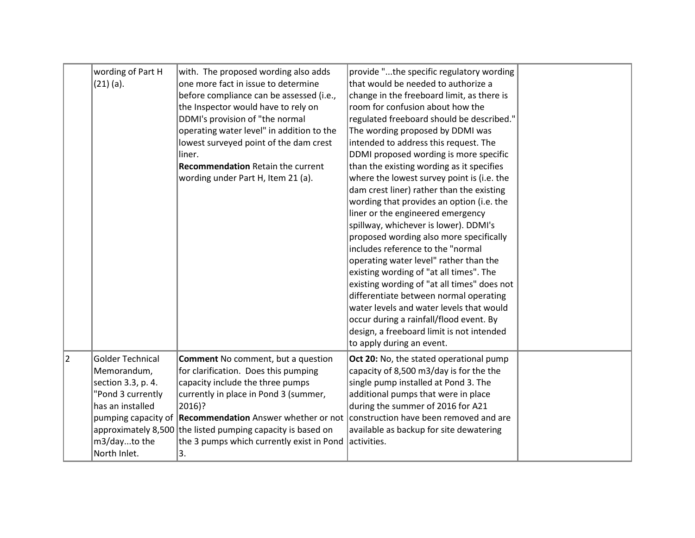|   | wording of Part H       | with. The proposed wording also adds                                                            | provide "the specific regulatory wording    |  |
|---|-------------------------|-------------------------------------------------------------------------------------------------|---------------------------------------------|--|
|   | $(21)$ (a).             | one more fact in issue to determine                                                             | that would be needed to authorize a         |  |
|   |                         | before compliance can be assessed (i.e.,                                                        | change in the freeboard limit, as there is  |  |
|   |                         | the Inspector would have to rely on                                                             | room for confusion about how the            |  |
|   |                         |                                                                                                 |                                             |  |
|   |                         | DDMI's provision of "the normal                                                                 | regulated freeboard should be described."   |  |
|   |                         | operating water level" in addition to the                                                       | The wording proposed by DDMI was            |  |
|   |                         | lowest surveyed point of the dam crest                                                          | intended to address this request. The       |  |
|   |                         | liner.                                                                                          | DDMI proposed wording is more specific      |  |
|   |                         | <b>Recommendation Retain the current</b>                                                        | than the existing wording as it specifies   |  |
|   |                         | wording under Part H, Item 21 (a).                                                              | where the lowest survey point is (i.e. the  |  |
|   |                         |                                                                                                 | dam crest liner) rather than the existing   |  |
|   |                         |                                                                                                 | wording that provides an option (i.e. the   |  |
|   |                         |                                                                                                 | liner or the engineered emergency           |  |
|   |                         |                                                                                                 | spillway, whichever is lower). DDMI's       |  |
|   |                         |                                                                                                 | proposed wording also more specifically     |  |
|   |                         |                                                                                                 | includes reference to the "normal           |  |
|   |                         |                                                                                                 | operating water level" rather than the      |  |
|   |                         |                                                                                                 | existing wording of "at all times". The     |  |
|   |                         |                                                                                                 | existing wording of "at all times" does not |  |
|   |                         |                                                                                                 | differentiate between normal operating      |  |
|   |                         |                                                                                                 | water levels and water levels that would    |  |
|   |                         |                                                                                                 | occur during a rainfall/flood event. By     |  |
|   |                         |                                                                                                 | design, a freeboard limit is not intended   |  |
|   |                         |                                                                                                 | to apply during an event.                   |  |
| 2 | <b>Golder Technical</b> | <b>Comment No comment, but a question</b>                                                       | Oct 20: No, the stated operational pump     |  |
|   | Memorandum,             | for clarification. Does this pumping                                                            | capacity of 8,500 m3/day is for the the     |  |
|   | section 3.3, p. 4.      | capacity include the three pumps                                                                | single pump installed at Pond 3. The        |  |
|   | "Pond 3 currently       | currently in place in Pond 3 (summer,                                                           | additional pumps that were in place         |  |
|   | has an installed        | 2016)?                                                                                          | during the summer of 2016 for A21           |  |
|   |                         | pumping capacity of Recommendation Answer whether or not construction have been removed and are |                                             |  |
|   |                         | approximately 8,500 the listed pumping capacity is based on                                     | available as backup for site dewatering     |  |
|   | m3/dayto the            | the 3 pumps which currently exist in Pond                                                       | activities.                                 |  |
|   | North Inlet.            | 3.                                                                                              |                                             |  |
|   |                         |                                                                                                 |                                             |  |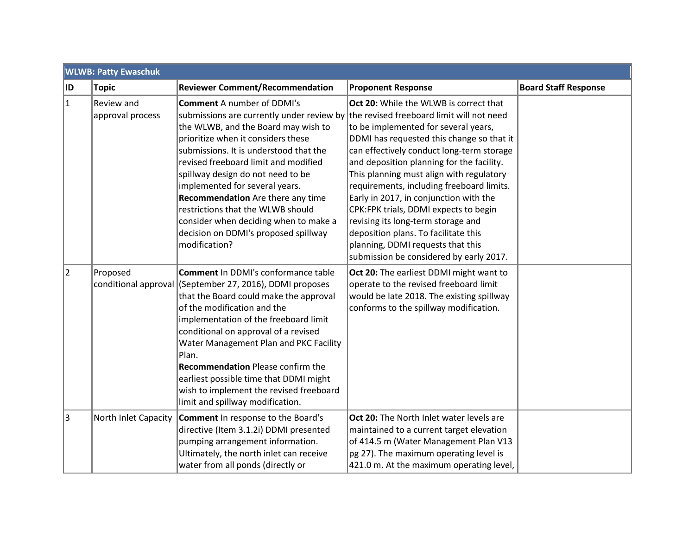|           | <b>WLWB: Patty Ewaschuk</b>      |                                                                                                                                                                                                                                                                                                                                                                                                                                                                                                                                            |                                                                                                                                                                                                                                                                                                                                                                                                                                                                                                                                                                 |                             |  |  |  |
|-----------|----------------------------------|--------------------------------------------------------------------------------------------------------------------------------------------------------------------------------------------------------------------------------------------------------------------------------------------------------------------------------------------------------------------------------------------------------------------------------------------------------------------------------------------------------------------------------------------|-----------------------------------------------------------------------------------------------------------------------------------------------------------------------------------------------------------------------------------------------------------------------------------------------------------------------------------------------------------------------------------------------------------------------------------------------------------------------------------------------------------------------------------------------------------------|-----------------------------|--|--|--|
| ∣ID       | <b>Topic</b>                     | <b>Reviewer Comment/Recommendation</b>                                                                                                                                                                                                                                                                                                                                                                                                                                                                                                     | <b>Proponent Response</b>                                                                                                                                                                                                                                                                                                                                                                                                                                                                                                                                       | <b>Board Staff Response</b> |  |  |  |
| $\vert$ 1 | Review and<br>approval process   | <b>Comment A number of DDMI's</b><br>submissions are currently under review by the revised freeboard limit will not need<br>the WLWB, and the Board may wish to<br>prioritize when it considers these<br>submissions. It is understood that the<br>revised freeboard limit and modified<br>spillway design do not need to be<br>implemented for several years.<br>Recommendation Are there any time<br>restrictions that the WLWB should<br>consider when deciding when to make a<br>decision on DDMI's proposed spillway<br>modification? | Oct 20: While the WLWB is correct that<br>to be implemented for several years,<br>DDMI has requested this change so that it<br>can effectively conduct long-term storage<br>and deposition planning for the facility.<br>This planning must align with regulatory<br>requirements, including freeboard limits.<br>Early in 2017, in conjunction with the<br>CPK:FPK trials, DDMI expects to begin<br>revising its long-term storage and<br>deposition plans. To facilitate this<br>planning, DDMI requests that this<br>submission be considered by early 2017. |                             |  |  |  |
| 2         | Proposed<br>conditional approval | <b>Comment</b> In DDMI's conformance table<br>(September 27, 2016), DDMI proposes<br>that the Board could make the approval<br>of the modification and the<br>implementation of the freeboard limit<br>conditional on approval of a revised<br>Water Management Plan and PKC Facility<br>Plan.<br><b>Recommendation</b> Please confirm the<br>earliest possible time that DDMI might<br>wish to implement the revised freeboard<br>limit and spillway modification.                                                                        | Oct 20: The earliest DDMI might want to<br>operate to the revised freeboard limit<br>would be late 2018. The existing spillway<br>conforms to the spillway modification.                                                                                                                                                                                                                                                                                                                                                                                        |                             |  |  |  |
| 3         | North Inlet Capacity             | <b>Comment</b> In response to the Board's<br>directive (Item 3.1.2i) DDMI presented<br>pumping arrangement information.<br>Ultimately, the north inlet can receive<br>water from all ponds (directly or                                                                                                                                                                                                                                                                                                                                    | Oct 20: The North Inlet water levels are<br>maintained to a current target elevation<br>of 414.5 m (Water Management Plan V13<br>pg 27). The maximum operating level is<br>421.0 m. At the maximum operating level,                                                                                                                                                                                                                                                                                                                                             |                             |  |  |  |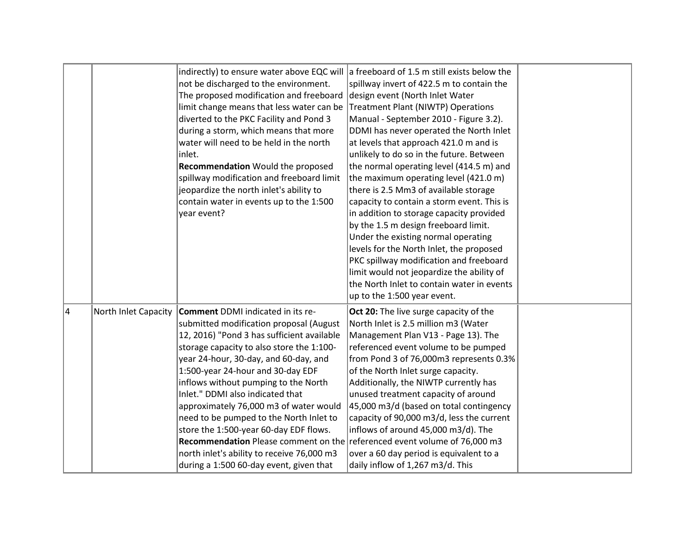|    |                      | indirectly) to ensure water above EQC will a freeboard of 1.5 m still exists below the<br>not be discharged to the environment.<br>The proposed modification and freeboard<br>limit change means that less water can be<br>diverted to the PKC Facility and Pond 3<br>during a storm, which means that more<br>water will need to be held in the north<br>inlet.<br>Recommendation Would the proposed<br>spillway modification and freeboard limit<br>jeopardize the north inlet's ability to<br>contain water in events up to the 1:500<br>year event?                                                                                       | spillway invert of 422.5 m to contain the<br>design event (North Inlet Water<br>Treatment Plant (NIWTP) Operations<br>Manual - September 2010 - Figure 3.2).<br>DDMI has never operated the North Inlet<br>at levels that approach 421.0 m and is<br>unlikely to do so in the future. Between<br>the normal operating level (414.5 m) and<br>the maximum operating level (421.0 m)<br>there is 2.5 Mm3 of available storage<br>capacity to contain a storm event. This is<br>in addition to storage capacity provided<br>by the 1.5 m design freeboard limit.<br>Under the existing normal operating<br>levels for the North Inlet, the proposed<br>PKC spillway modification and freeboard<br>limit would not jeopardize the ability of<br>the North Inlet to contain water in events<br>up to the 1:500 year event. |  |
|----|----------------------|-----------------------------------------------------------------------------------------------------------------------------------------------------------------------------------------------------------------------------------------------------------------------------------------------------------------------------------------------------------------------------------------------------------------------------------------------------------------------------------------------------------------------------------------------------------------------------------------------------------------------------------------------|-----------------------------------------------------------------------------------------------------------------------------------------------------------------------------------------------------------------------------------------------------------------------------------------------------------------------------------------------------------------------------------------------------------------------------------------------------------------------------------------------------------------------------------------------------------------------------------------------------------------------------------------------------------------------------------------------------------------------------------------------------------------------------------------------------------------------|--|
| 14 | North Inlet Capacity | <b>Comment DDMI</b> indicated in its re-<br>submitted modification proposal (August<br>12, 2016) "Pond 3 has sufficient available<br>storage capacity to also store the 1:100-<br>year 24-hour, 30-day, and 60-day, and<br>1:500-year 24-hour and 30-day EDF<br>inflows without pumping to the North<br>Inlet." DDMI also indicated that<br>approximately 76,000 m3 of water would<br>need to be pumped to the North Inlet to<br>store the 1:500-year 60-day EDF flows.<br>Recommendation Please comment on the referenced event volume of 76,000 m3<br>north inlet's ability to receive 76,000 m3<br>during a 1:500 60-day event, given that | Oct 20: The live surge capacity of the<br>North Inlet is 2.5 million m3 (Water<br>Management Plan V13 - Page 13). The<br>referenced event volume to be pumped<br>from Pond 3 of 76,000m3 represents 0.3%<br>of the North Inlet surge capacity.<br>Additionally, the NIWTP currently has<br>unused treatment capacity of around<br>45,000 m3/d (based on total contingency<br>capacity of 90,000 m3/d, less the current<br>inflows of around 45,000 m3/d). The<br>over a 60 day period is equivalent to a<br>daily inflow of 1,267 m3/d. This                                                                                                                                                                                                                                                                          |  |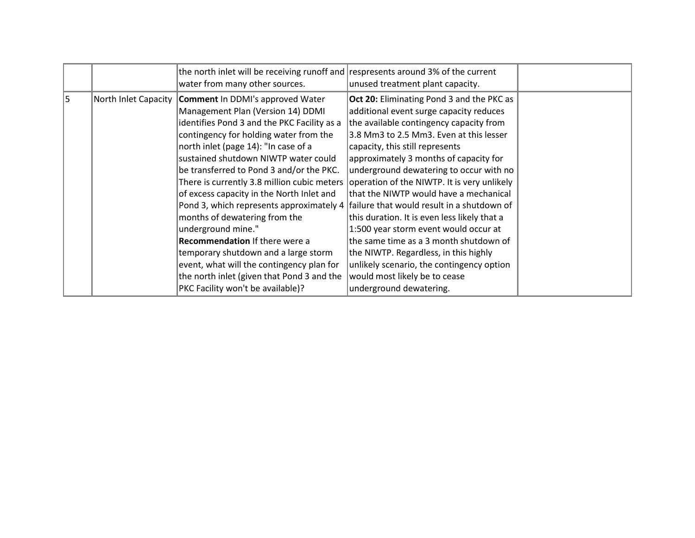| 5<br>North Inlet Capacity<br><b>Comment</b> In DDMI's approved Water<br><b>Oct 20:</b> Eliminating Pond 3 and the PKC as                                                                                                                                                                                                                                                                                                                                                                                                                                                                                                                                                                                                                                                                                                                                                                                                                                                                                                                                                                                                                                                                                                                                                    |  | the north inlet will be receiving runoff and respresents around 3% of the current<br>water from many other sources. | unused treatment plant capacity.        |  |
|-----------------------------------------------------------------------------------------------------------------------------------------------------------------------------------------------------------------------------------------------------------------------------------------------------------------------------------------------------------------------------------------------------------------------------------------------------------------------------------------------------------------------------------------------------------------------------------------------------------------------------------------------------------------------------------------------------------------------------------------------------------------------------------------------------------------------------------------------------------------------------------------------------------------------------------------------------------------------------------------------------------------------------------------------------------------------------------------------------------------------------------------------------------------------------------------------------------------------------------------------------------------------------|--|---------------------------------------------------------------------------------------------------------------------|-----------------------------------------|--|
| identifies Pond 3 and the PKC Facility as a<br>the available contingency capacity from<br>contingency for holding water from the<br>3.8 Mm3 to 2.5 Mm3. Even at this lesser<br>north inlet (page 14): "In case of a<br>capacity, this still represents<br>sustained shutdown NIWTP water could<br>approximately 3 months of capacity for<br>be transferred to Pond 3 and/or the PKC.<br>underground dewatering to occur with no<br>There is currently 3.8 million cubic meters<br>operation of the NIWTP. It is very unlikely<br>that the NIWTP would have a mechanical<br>of excess capacity in the North Inlet and<br>failure that would result in a shutdown of<br>Pond 3, which represents approximately 4<br>months of dewatering from the<br>this duration. It is even less likely that a<br>underground mine."<br>1:500 year storm event would occur at<br><b>Recommendation If there were a</b><br>the same time as a 3 month shutdown of<br>temporary shutdown and a large storm<br>the NIWTP. Regardless, in this highly<br>event, what will the contingency plan for<br>unlikely scenario, the contingency option<br>the north inlet (given that Pond 3 and the<br>would most likely be to cease<br>PKC Facility won't be available)?<br>underground dewatering. |  | Management Plan (Version 14) DDMI                                                                                   | additional event surge capacity reduces |  |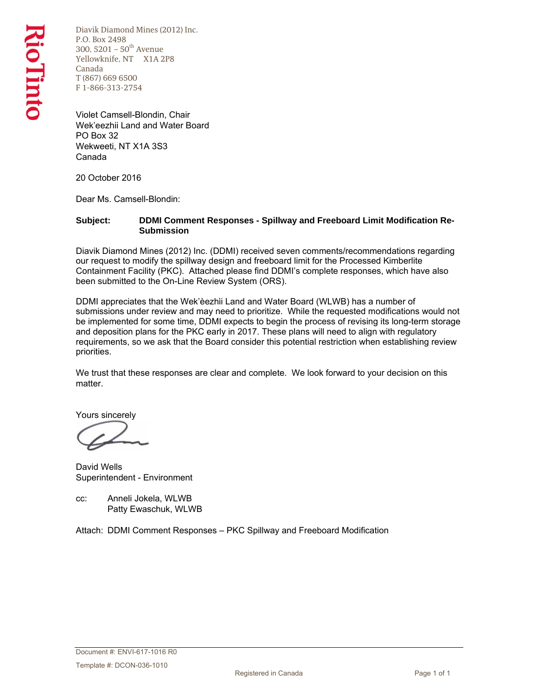Diavik Diamond Mines (2012) Inc. P.O. Box 2498 300, 5201 –  $50^{th}$  Avenue Yellowknife, NT X1A 2P8 Canada T (867) 669 6500 F 1-866-313-2754

Violet Camsell-Blondin, Chair Wek'eezhii Land and Water Board PO Box 32 Wekweeti, NT X1A 3S3 Canada

20 October 2016

Dear Ms. Camsell-Blondin:

#### **Subject: DDMI Comment Responses - Spillway and Freeboard Limit Modification Re-Submission**

Diavik Diamond Mines (2012) Inc. (DDMI) received seven comments/recommendations regarding our request to modify the spillway design and freeboard limit for the Processed Kimberlite Containment Facility (PKC). Attached please find DDMI's complete responses, which have also been submitted to the On-Line Review System (ORS).

DDMI appreciates that the Wek'èezhὶi Land and Water Board (WLWB) has a number of submissions under review and may need to prioritize. While the requested modifications would not be implemented for some time, DDMI expects to begin the process of revising its long-term storage and deposition plans for the PKC early in 2017. These plans will need to align with regulatory requirements, so we ask that the Board consider this potential restriction when establishing review priorities.

We trust that these responses are clear and complete. We look forward to your decision on this matter.

Yours sincerely

David Wells Superintendent - Environment

cc: Anneli Jokela, WLWB Patty Ewaschuk, WLWB

Attach: DDMI Comment Responses – PKC Spillway and Freeboard Modification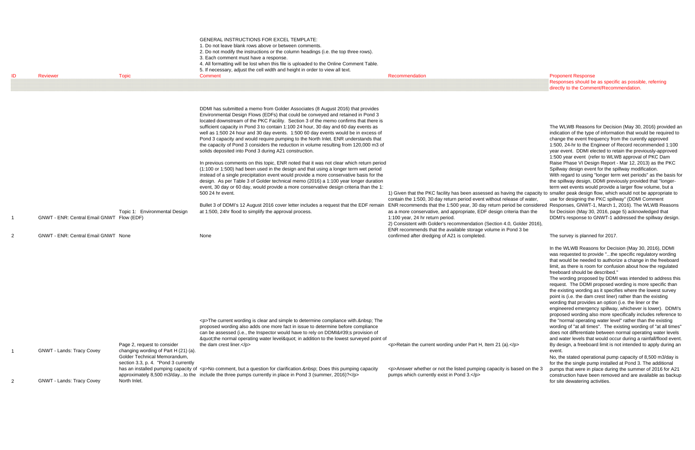Responses should be as specific as possible, referring directly to the Comment/Recommendation.

1) Given that the PKC facility has been assessed as having the capacity to smaller peak design flow, which would not be appropriate to ENR recommends that the 1:500 year, 30 day return period be considered Responses, GNWT-1, March 1, 2016). The WLWB Reasons The WLWB Reasons for Decision (May 30, 2016) provided an indication of the type of information that would be required to change the event frequency from the curently approved 1:500, 24-hr to the Engineer of Record recommended 1:100 year event. DDMI elected to retain the previously-approved 1:500 year event (refer to WLWB approval of PKC Dam Raise Phase VI Design Report - Mar 12, 2013) as the PKC Spillway design event for the spillway modification. With regard to using "longer term wet periods" as the basis for the spillway design, DDMI previously provided that "longerterm wet events would provide a larger flow volume, but a use for designing the PKC spillway" (DDMI Comment for Decision (May 30, 2016, page 5) acknowledged that DDMI's response to GNWT-1 addressed the spillway design.

The survey is planned for 2017.

| ID                  | <b>Reviewer</b>                                                                         | <b>Topic</b>                                                                                                                                                | <b>GENERAL INSTRUCTIONS FOR EXCEL TEMPLATE:</b><br>1. Do not leave blank rows above or between comments.<br>2. Do not modify the instructions or the column headings (i.e. the top three rows).<br>3. Each comment must have a response.<br>4. All formatting will be lost when this file is uploaded to the Online Comment Table.<br>5. If necessary, adjust the cell width and height in order to view all text.<br>Comment                                                                                                                                                                                                                                                                                                                                                                                                                                                                                                                                                                                                                                                                                                                                                                                                                                                                                                | Recommendation                                                                                                                                                                                                                                                                                                                                                                                                                                                                                                                                                                 | <b>Proponent Response</b><br>Responses should be<br>directly to the Comm                                                                                                                                                                                                                                                                                                                                                                                                                                                                                          |
|---------------------|-----------------------------------------------------------------------------------------|-------------------------------------------------------------------------------------------------------------------------------------------------------------|------------------------------------------------------------------------------------------------------------------------------------------------------------------------------------------------------------------------------------------------------------------------------------------------------------------------------------------------------------------------------------------------------------------------------------------------------------------------------------------------------------------------------------------------------------------------------------------------------------------------------------------------------------------------------------------------------------------------------------------------------------------------------------------------------------------------------------------------------------------------------------------------------------------------------------------------------------------------------------------------------------------------------------------------------------------------------------------------------------------------------------------------------------------------------------------------------------------------------------------------------------------------------------------------------------------------------|--------------------------------------------------------------------------------------------------------------------------------------------------------------------------------------------------------------------------------------------------------------------------------------------------------------------------------------------------------------------------------------------------------------------------------------------------------------------------------------------------------------------------------------------------------------------------------|-------------------------------------------------------------------------------------------------------------------------------------------------------------------------------------------------------------------------------------------------------------------------------------------------------------------------------------------------------------------------------------------------------------------------------------------------------------------------------------------------------------------------------------------------------------------|
| 1<br>$\overline{2}$ | GNWT - ENR: Central Email GNWT Flow (EDF)<br><b>GNWT - ENR: Central Email GNWT None</b> | Topic 1: Environmental Design                                                                                                                               | DDMI has submitted a memo from Golder Associates (8 August 2016) that provides<br>Environmental Design Flows (EDFs) that could be conveyed and retained in Pond 3<br>located downstream of the PKC Facility. Section 3 of the memo confirms that there is<br>sufficient capacity in Pond 3 to contain 1:100 24 hour, 30 day and 60 day events as<br>well as 1:500 24 hour and 30 day events. 1:500 60 day events would be in excess of<br>Pond 3 capacity and would require pumping to the North Inlet. ENR understands that<br>the capacity of Pond 3 considers the reduction in volume resulting from 120,000 m3 of<br>solids deposited into Pond 3 during A21 construction.<br>In previous comments on this topic, ENR noted that it was not clear which return period<br>(1:100 or 1:500) had been used in the design and that using a longer term wet period<br>instead of a single precipitation event would provide a more conservative basis for the<br>design. As per Table 3 of Golder technical memo (2016) a 1:100 year longer duration<br>event, 30 day or 60 day, would provide a more conservative design criteria than the 1:<br>500 24 hr event.<br>Bullet 3 of DDMI's 12 August 2016 cover letter includes a request that the EDF remain<br>at 1:500, 24hr flood to simplify the approval process.<br>None | 1) Given that the PKC facility has been assessed as having the capacity to smaller peak design<br>contain the 1:500, 30 day return period event without release of water,<br>ENR recommends that the 1:500 year, 30 day return period be considered Responses, GNWT-1<br>as a more conservative, and appropriate, EDF design criteria than the<br>1:100 year, 24 hr return period.<br>2) Consistent with Golder's recommendation (Section 4.0, Golder 2016),<br>ENR recommends that the available storage volume in Pond 3 be<br>confirmed after dredging of A21 is completed. | The WLWB Reasons<br>indication of the type<br>change the event free<br>1:500, 24-hr to the Er<br>year event. DDMI el<br>1:500 year event (re<br>Raise Phase VI Desi<br>Spillway design even<br>With regard to using<br>the spillway design, I<br>term wet events wou<br>use for designing the<br>for Decision (May 30<br>DDMI's response to (<br>The survey is planne                                                                                                                                                                                             |
| 1<br>$\overline{2}$ | <b>GNWT - Lands: Tracy Covey</b><br><b>GNWT - Lands: Tracy Covey</b>                    | Page 2, request to consider<br>changing wording of Part H (21) (a).<br>Golder Technical Memorandum.<br>section 3.3, p. 4. "Pond 3 currently<br>North Inlet. | <p>The current wording is clear and simple to determine compliance with.  The<br/>proposed wording also adds one more fact in issue to determine before compliance<br/>can be assessed (i.e., the Inspector would have to rely on DDMI's provision of<br/>"the normal operating water level" in addition to the lowest surveyed point of<br/>the dam crest liner.</p><br>has an installed pumping capacity of <p>No comment, but a question for clarification.  Does this pumping capacity<br/>approximately 8,500 m3/dayto the include the three pumps currently in place in Pond 3 (summer, 2016)?</p>                                                                                                                                                                                                                                                                                                                                                                                                                                                                                                                                                                                                                                                                                                                     | $\langle p\rangle$ -Retain the current wording under Part H, Item 21 (a). $\langle p\rangle$<br><p>Answer whether or not the listed pumping capacity is based on the 3<br/>pumps which currently exist in Pond 3.</p>                                                                                                                                                                                                                                                                                                                                                          | In the WLWB Reasor<br>was requested to pro<br>that would be needed<br>limit, as there is room<br>freeboard should be<br>The wording propose<br>request. The DDMI p<br>the existing wording<br>point is (i.e. the dam<br>wording that provides<br>engineered emergen<br>proposed wording als<br>the "normal operating<br>wording of "at all time<br>does not differentiate<br>and water levels that<br>By design, a freeboa<br>event.<br>No, the stated operat<br>for the the single pun<br>pumps that were in p<br>construction have be<br>for site dewatering ao |

In the WLWB Reasons for Decision (May 30, 2016), DDMI was requested to provide "...the specific regulatory wording that would be needed to authorize a change in the freeboard limit, as there is room for confusion about how the regulated freeboard should be described."

The wording proposed by DDMI was intended to address this request. The DDMI proposed wording is more specific than the existing wording as it specifies where the lowest survey point is (i.e. the dam crest liner) rather than the existing wording that provides an option (i.e. the liner or the engineered emergency spillway, whichever is lower). DDMI's proposed wording also more specifically includes reference to the "normal operating water level" rather than the existing wording of "at all times". The existing wording of "at all times" does not differentiate between normal operating water levels and water levels that would occur during a rainfall/flood event. By design, a freeboard limit is not intended to apply during an event.

<p>Answer whether or not the listed pumping capacity is based on the 3 pumps that were in place during the summer of 2016 for A21 No, the stated operational pump capacity of 8,500 m3/day is for the the single pump installed at Pond 3. The additional construction have been removed and are available as backup

for site dewatering activities.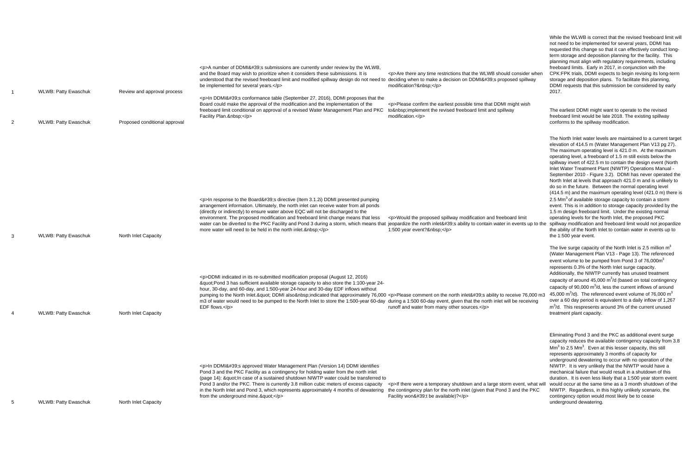| -1             | <b>WLWB: Patty Ewaschuk</b> | Review and approval process   | $<$ p>A number of DDMI's submissions are currently under review by the WLWB,<br>and the Board may wish to prioritize when it considers these submissions. It is<br>understood that the revised freeboard limit and modified spillway design do not need to deciding when to make a decision on DDMI's proposed spillway<br>be implemented for several years.<br><p>In DDMI's conformance table (September 27, 2016), DDMI proposes that the<br/>Board could make the approval of the modification and the implementation of the<br/>freeboard limit conditional on approval of a revised Water Management Plan and PKC<br/>Facility Plan. </p> | <p>Are there any time restrictions that the WLWB should consider when<br/>modification? </p><br><p>Please confirm the earliest possible time that DDMI might wish<br/>to implement the revised freeboard limit and spillway<br/>modification.</p>    | While the WLWB is correct that the revised freeboard limit will<br>not need to be implemented for several years, DDMI has<br>requested this change so that it can effectively conduct long-<br>term storage and deposition planning for the facility. This<br>planning must align with regulatory requirements, including<br>freeboard limits. Early in 2017, in conjunction with the<br>CPK:FPK trials, DDMI expects to begin revising its long-term<br>storage and deposition plans. To facilitate this planning,<br>DDMI requests that this submission be considered by early<br>2017.<br>The earliest DDMI might want to operate to the revised<br>freeboard limit would be late 2018. The existing spillway                                                                                                                                                                                                                                                                                                                                                      |
|----------------|-----------------------------|-------------------------------|------------------------------------------------------------------------------------------------------------------------------------------------------------------------------------------------------------------------------------------------------------------------------------------------------------------------------------------------------------------------------------------------------------------------------------------------------------------------------------------------------------------------------------------------------------------------------------------------------------------------------------------------|------------------------------------------------------------------------------------------------------------------------------------------------------------------------------------------------------------------------------------------------------|-----------------------------------------------------------------------------------------------------------------------------------------------------------------------------------------------------------------------------------------------------------------------------------------------------------------------------------------------------------------------------------------------------------------------------------------------------------------------------------------------------------------------------------------------------------------------------------------------------------------------------------------------------------------------------------------------------------------------------------------------------------------------------------------------------------------------------------------------------------------------------------------------------------------------------------------------------------------------------------------------------------------------------------------------------------------------|
| $\overline{2}$ | <b>WLWB: Patty Ewaschuk</b> | Proposed conditional approval |                                                                                                                                                                                                                                                                                                                                                                                                                                                                                                                                                                                                                                                |                                                                                                                                                                                                                                                      | conforms to the spillway modification.                                                                                                                                                                                                                                                                                                                                                                                                                                                                                                                                                                                                                                                                                                                                                                                                                                                                                                                                                                                                                                |
| 3              | <b>WLWB: Patty Ewaschuk</b> | North Inlet Capacity          | <p>In response to the Board's directive (Item 3.1.2i) DDMI presented pumping<br/>arrangement information. Ultimately, the north inlet can receive water from all ponds<br/>(directly or indirectly) to ensure water above EQC will not be discharged to the<br/>environment. The proposed modification and freeboard limit change means that less<br/>water can be diverted to the PKC Facility and Pond 3 during a storm, which means that jeopardize the north inlet's ability to contain water in events up to the<br/>more water will need to be held in the north inlet. </p>                                                             | <p>Would the proposed spillway modification and freeboard limit<br/>1:500 year event? </p>                                                                                                                                                           | The North Inlet water levels are maintained to a current target<br>elevation of 414.5 m (Water Management Plan V13 pg 27).<br>The maximum operating level is 421.0 m. At the maximum<br>operating level, a freeboard of 1.5 m still exists below the<br>spillway invert of 422.5 m to contain the design event (North<br>Inlet Water Treatment Plant (NIWTP) Operations Manual -<br>September 2010 - Figure 3.2). DDMI has never operated the<br>North Inlet at levels that approach 421.0 m and is unlikely to<br>do so in the future. Between the normal operating level<br>(414.5 m) and the maximum operating level (421.0 m) there is<br>2.5 $\text{Mm}^3$ of available storage capacity to contain a storm<br>event. This is in addition to storage capacity provided by the<br>1.5 m design freeboard limit. Under the existing normal<br>operating levels for the North Inlet, the proposed PKC<br>spillway modification and freeboard limit would not jeopardize<br>the ability of the North Inlet to contain water in events up to<br>the 1:500 year event. |
| 4              | <b>WLWB: Patty Ewaschuk</b> | North Inlet Capacity          | <p>DDMI indicated in its re-submitted modification proposal (August 12, 2016)<br/>"Pond 3 has sufficient available storage capacity to also store the 1:100-year 24-<br/>hour, 30-day, and 60-day, and 1:500-year 24-hour and 30-day EDF inflows without<br/>pumping to the North Inlet." DDMI also indicated that approximately 76,000 <p>Please comment on the north inlet's ability to receive 76,000 m3<br/>m3 of water would need to be pumped to the North Inlet to store the 1:500-year 60-day during a 1:500 60-day event, given that the north inlet will be receiving<br/>EDF flows.</p></p>                                         | runoff and water from many other sources.                                                                                                                                                                                                            | The live surge capacity of the North Inlet is 2.5 million $m3$<br>(Water Management Plan V13 - Page 13). The referenced<br>event volume to be pumped from Pond 3 of 76,000m <sup>3</sup><br>represents 0.3% of the North Inlet surge capacity.<br>Additionally, the NIWTP currently has unused treatment<br>capacity of around 45,000 $m^3/d$ (based on total contingency<br>capacity of $90,000 \text{ m}^3/\text{d}$ , less the current inflows of around<br>45,000 $\text{m}^3$ /d). The referenced event volume of 76,000 $\text{m}^3$<br>over a 60 day period is equivalent to a daily inflow of 1,267<br>m <sup>3</sup> /d. This respresents around 3% of the current unused<br>treatment plant capacity.                                                                                                                                                                                                                                                                                                                                                       |
| 5              | <b>WLWB: Patty Ewaschuk</b> | North Inlet Capacity          | <p>In DDMI's approved Water Management Plan (Version 14) DDMI identifies<br/>Pond 3 and the PKC Facility as a contingency for holding water from the north inlet<br/>(page 14): " In case of a sustained shutdown NIWTP water could be transferred to<br/>Pond 3 and/or the PKC. There is currently 3.8 million cubic meters of excess capacity<br/>in the North Inlet and Pond 3, which represents approximately 4 months of dewatering<br/>from the underground mine."</p>                                                                                                                                                                   | <p>If there were a temporary shutdown and a large storm event, what will would occur at the same time as a 3 month shutdown of the<br/>the contingency plan for the north inlet (given that Pond 3 and the PKC<br/>Facility won't be available)?</p> | Eliminating Pond 3 and the PKC as additional event surge<br>capacity reduces the available contingency capacity from 3.8<br>$\text{Mm}^3$ to 2.5 Mm <sup>3</sup> . Even at this lesser capacity, this still<br>represents approximately 3 months of capacity for<br>underground dewatering to occur with no operation of the<br>NIWTP. It is very unlikely that the NIWTP would have a<br>mechanical failure that would result in a shutdown of this<br>duration. It is even less likely that a 1:500 year storm event<br>NIWTP. Regardless, in this highly unlikely scenario, the<br>contingency option would most likely be to cease<br>underground dewatering.                                                                                                                                                                                                                                                                                                                                                                                                     |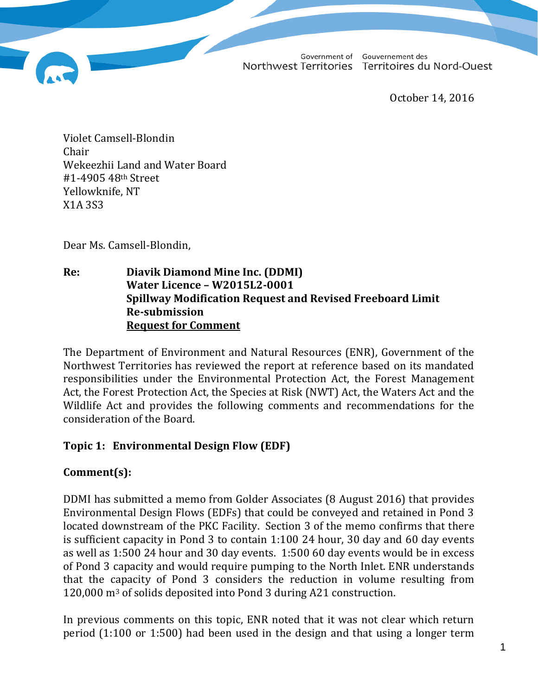Government of Gouvernement des Northwest Territories Territoires du Nord-Ouest

October 14, 2016

Violet Camsell-Blondin Chair Wekeezhii Land and Water Board #1-4905 48th Street Yellowknife, NT X1A 3S3

Dear Ms. Camsell-Blondin,

**Re: Diavik Diamond Mine Inc. (DDMI) Water Licence – W2015L2-0001 Spillway Modification Request and Revised Freeboard Limit Re-submission Request for Comment**

The Department of Environment and Natural Resources (ENR), Government of the Northwest Territories has reviewed the report at reference based on its mandated responsibilities under the Environmental Protection Act, the Forest Management Act, the Forest Protection Act, the Species at Risk (NWT) Act, the Waters Act and the Wildlife Act and provides the following comments and recommendations for the consideration of the Board.

## **Topic 1: Environmental Design Flow (EDF)**

## **Comment(s):**

DDMI has submitted a memo from Golder Associates (8 August 2016) that provides Environmental Design Flows (EDFs) that could be conveyed and retained in Pond 3 located downstream of the PKC Facility. Section 3 of the memo confirms that there is sufficient capacity in Pond 3 to contain 1:100 24 hour, 30 day and 60 day events as well as 1:500 24 hour and 30 day events. 1:500 60 day events would be in excess of Pond 3 capacity and would require pumping to the North Inlet. ENR understands that the capacity of Pond 3 considers the reduction in volume resulting from 120,000 m3 of solids deposited into Pond 3 during A21 construction.

In previous comments on this topic, ENR noted that it was not clear which return period (1:100 or 1:500) had been used in the design and that using a longer term